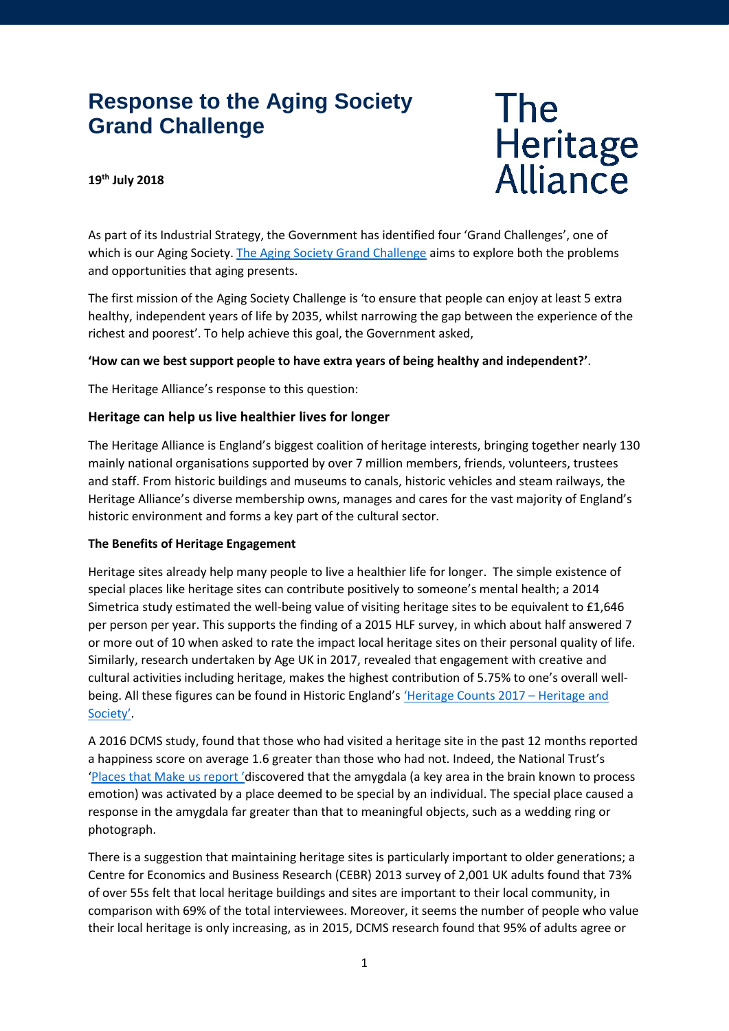# **Response to the Aging Society Grand Challenge**

# The<br>Heritage<br>Alliance

# **19th July 2018**

As part of its Industrial Strategy, the Government has identified four 'Grand Challenges', one of which is our Aging Society. [The Aging Society Grand Challenge](https://industrialstrategy.dialogue-app.com/ageing-society/?sort_order=latest) aims to explore both the problems and opportunities that aging presents.

The first mission of the Aging Society Challenge is 'to ensure that people can enjoy at least 5 extra healthy, independent years of life by 2035, whilst narrowing the gap between the experience of the richest and poorest'. To help achieve this goal, the Government asked,

# **'How can we best support people to have extra years of being healthy and independent?'**.

The Heritage Alliance's response to this question:

# **Heritage can help us live healthier lives for longer**

The Heritage Alliance is England's biggest coalition of heritage interests, bringing together nearly 130 mainly national organisations supported by over 7 million members, friends, volunteers, trustees and staff. From historic buildings and museums to canals, historic vehicles and steam railways, the Heritage Alliance's diverse membership owns, manages and cares for the vast majority of England's historic environment and forms a key part of the cultural sector.

# **The Benefits of Heritage Engagement**

Heritage sites already help many people to live a healthier life for longer. The simple existence of special places like heritage sites can contribute positively to someone's mental health; a 2014 Simetrica study estimated the well-being value of visiting heritage sites to be equivalent to £1,646 per person per year. This supports the finding of a 2015 HLF survey, in which about half answered 7 or more out of 10 when asked to rate the impact local heritage sites on their personal quality of life. Similarly, research undertaken by Age UK in 2017, revealed that engagement with creative and cultural activities including heritage, makes the highest contribution of 5.75% to one's overall wellbeing. All these figures can be found in Historic England'[s 'Heritage Counts](https://content.historicengland.org.uk/content/heritage-counts/pub/2017/heritage-and-society-2017.pdf) 2017 – Heritage and [Society'.](https://content.historicengland.org.uk/content/heritage-counts/pub/2017/heritage-and-society-2017.pdf)

A 2016 DCMS study, found that those who had visited a heritage site in the past 12 months reported a happiness score on average 1.6 greater than those who had not. Indeed, the National Trust's ['Places that Make us report](https://www.nationaltrust.org.uk/documents/places-that-make-us-research-report.pdf) 'discovered that the amygdala (a key area in the brain known to process emotion) was activated by a place deemed to be special by an individual. The special place caused a response in the amygdala far greater than that to meaningful objects, such as a wedding ring or photograph.

There is a suggestion that maintaining heritage sites is particularly important to older generations; a Centre for Economics and Business Research (CEBR) 2013 survey of 2,001 UK adults found that 73% of over 55s felt that local heritage buildings and sites are important to their local community, in comparison with 69% of the total interviewees. Moreover, it seems the number of people who value their local heritage is only increasing, as in 2015, DCMS research found that 95% of adults agree or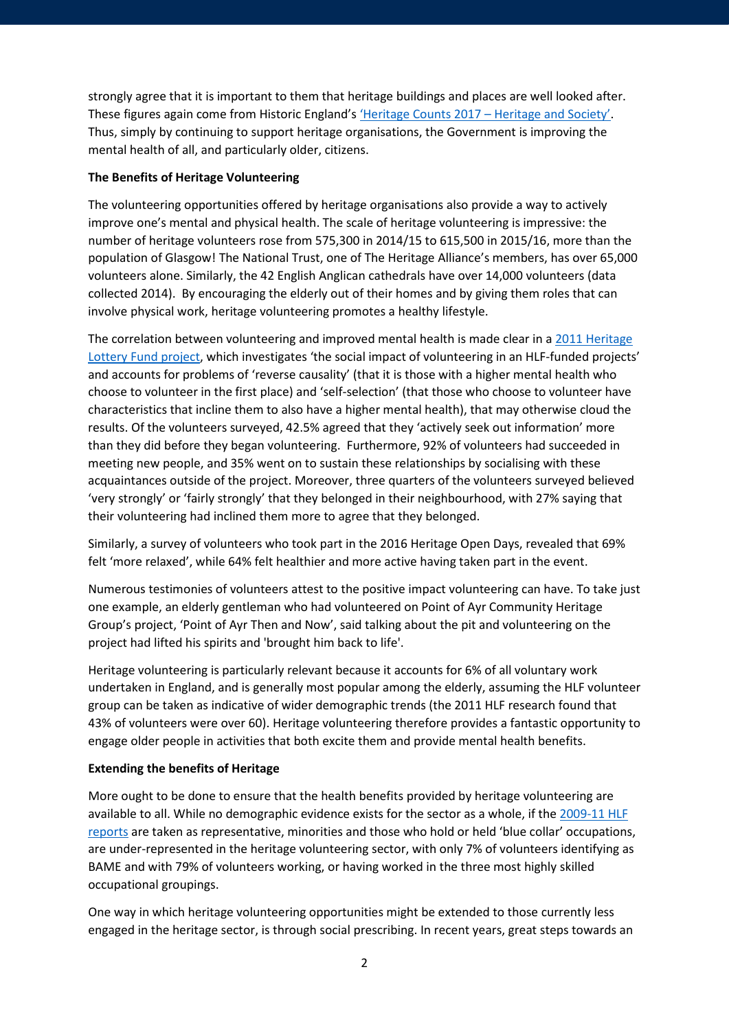strongly agree that it is important to them that heritage buildings and places are well looked after. These figures again come from Historic England'[s 'Heritage Counts 2017 –](https://content.historicengland.org.uk/content/heritage-counts/pub/2017/heritage-and-society-2017.pdf) Heritage and Society'. Thus, simply by continuing to support heritage organisations, the Government is improving the mental health of all, and particularly older, citizens.

# **The Benefits of Heritage Volunteering**

The volunteering opportunities offered by heritage organisations also provide a way to actively improve one's mental and physical health. The scale of heritage volunteering is impressive: the number of heritage volunteers rose from 575,300 in 2014/15 to 615,500 in 2015/16, more than the population of Glasgow! The National Trust, one of The Heritage Alliance's members, has over 65,000 volunteers alone. Similarly, the 42 English Anglican cathedrals have over 14,000 volunteers (data collected 2014). By encouraging the elderly out of their homes and by giving them roles that can involve physical work, heritage volunteering promotes a healthy lifestyle.

The correlation between volunteering and improved mental health is made clear in [a 2011 Heritage](https://www.hlf.org.uk/social-benefits-involvement-heritage-projects)  [Lottery Fund project,](https://www.hlf.org.uk/social-benefits-involvement-heritage-projects) which investigates 'the social impact of volunteering in an HLF-funded projects' and accounts for problems of 'reverse causality' (that it is those with a higher mental health who choose to volunteer in the first place) and 'self-selection' (that those who choose to volunteer have characteristics that incline them to also have a higher mental health), that may otherwise cloud the results. Of the volunteers surveyed, 42.5% agreed that they 'actively seek out information' more than they did before they began volunteering. Furthermore, 92% of volunteers had succeeded in meeting new people, and 35% went on to sustain these relationships by socialising with these acquaintances outside of the project. Moreover, three quarters of the volunteers surveyed believed 'very strongly' or 'fairly strongly' that they belonged in their neighbourhood, with 27% saying that their volunteering had inclined them more to agree that they belonged.

Similarly, a survey of volunteers who took part in the 2016 Heritage Open Days, revealed that 69% felt 'more relaxed', while 64% felt healthier and more active having taken part in the event.

Numerous testimonies of volunteers attest to the positive impact volunteering can have. To take just one example, an elderly gentleman who had volunteered on Point of Ayr Community Heritage Group's project, 'Point of Ayr Then and Now', said talking about the pit and volunteering on the project had lifted his spirits and 'brought him back to life'.

Heritage volunteering is particularly relevant because it accounts for 6% of all voluntary work undertaken in England, and is generally most popular among the elderly, assuming the HLF volunteer group can be taken as indicative of wider demographic trends (the 2011 HLF research found that 43% of volunteers were over 60). Heritage volunteering therefore provides a fantastic opportunity to engage older people in activities that both excite them and provide mental health benefits.

#### **Extending the benefits of Heritage**

More ought to be done to ensure that the health benefits provided by heritage volunteering are available to all. While no demographic evidence exists for the sector as a whole, if the [2009-11 HLF](https://www.hlf.org.uk/social-benefits-involvement-heritage-projects)  [reports](https://www.hlf.org.uk/social-benefits-involvement-heritage-projects) are taken as representative, minorities and those who hold or held 'blue collar' occupations, are under-represented in the heritage volunteering sector, with only 7% of volunteers identifying as BAME and with 79% of volunteers working, or having worked in the three most highly skilled occupational groupings.

One way in which heritage volunteering opportunities might be extended to those currently less engaged in the heritage sector, is through social prescribing. In recent years, great steps towards an